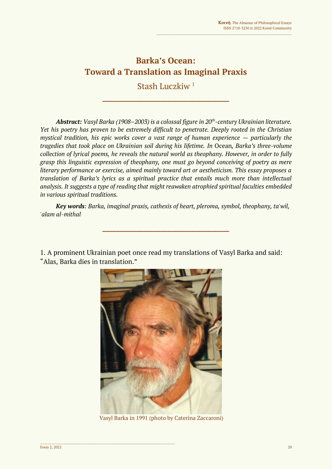# **Barka's Ocean: Toward a Translation as Imaginal Praxis**

Stash Luczkiw <sup>1</sup>

**\_\_\_\_\_\_\_\_\_\_\_\_\_\_\_\_\_\_\_\_\_\_\_\_\_\_\_\_\_\_\_\_\_\_\_\_\_**

*Abstract: Vasyl Barka (1908–2003) is a colossal figure in 20th -century Ukrainian literature. Yet his poetry has proven to be extremely difficult to penetrate. Deeply rooted in the Christian mystical tradition, his epic works cover a vast range of human experience*  $-$  *particularly the tragedies that took place on Ukrainian soil during his lifetime. In* Ocean*, Barka's three-volume collection of lyrical poems, he reveals the natural world as theophany. However, in order to fully grasp this linguistic expression of theophany, one must go beyond conceiving of poetry as mere literary performance or exercise, aimed mainly toward art or aestheticism. This essay proposes a translation of Barka's lyrics as a spiritual practice that entails much more than intellectual analysis. It suggests a type of reading that might reawaken atrophied spiritual faculties embedded in various spiritual traditions.*

*Key words: Barka, imaginal praxis, cathexis of heart, pleroma, symbol, theophany, ta'wil, 'alam al-mithal*

**\_\_\_\_\_\_\_\_\_\_\_\_\_\_\_\_\_\_\_\_\_\_\_\_\_\_\_\_\_\_\_\_\_\_\_\_\_**

1. A prominent Ukrainian poet once read my translations of Vasyl Barka and said: "Alas, Barka dies in translation."



Vasyl Barka in 1991 (photo by Caterina Zaccaroni)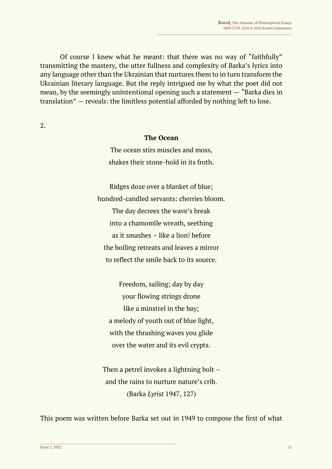Of course I knew what he meant: that there was no way of "faithfully" transmitting the mastery, the utter fullness and complexity of Barka's lyrics into any language other than the Ukrainian that nurtures them to in turn transform the Ukrainian literary language. But the reply intrigued me by what the poet did not mean, by the seemingly unintentional opening such a statement — "Barka dies in translation" — reveals: the limitless potential afforded by nothing left to lose.

2.

#### **The Ocean**

The ocean stirs muscles and moss, shakes their stone-hold in its froth.

Ridges doze over a blanket of blue; hundred-candled servants: cherries bloom. The day decrees the wave's break into a chamomile wreath, seething as it smashes – like a lion! before the boiling retreats and leaves a mirror to reflect the smile back to its source.

Freedom, sailing; day by day your flowing strings drone like a minstrel in the bay; a melody of youth out of blue light, with the thrashing waves you glide over the water and its evil crypts.

Then a petrel invokes a lightning bolt – and the rains to nurture nature's crib. (Barka *Lyrist* 1947, 127)

This poem was written before Barka set out in 1949 to compose the first of what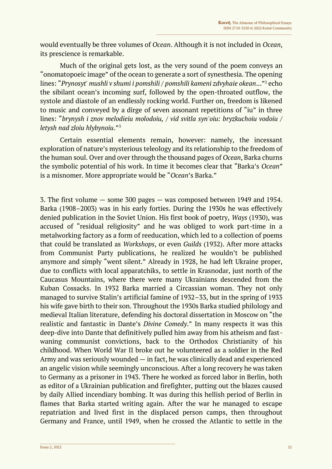would eventually be three volumes of *Ocean*. Although it is not included in *Ocean*, its prescience is remarkable.

Much of the original gets lost, as the very sound of the poem conveys an "onomatopoeic image" of the ocean to generate a sort of synesthesia. The opening lines: "*Prynosyt' mushli v shumi i pomshili / pomshili kameni zdvyhaie okean*..."<sup>2</sup> echo the sibilant ocean's incoming surf, followed by the open-throated outflow, the systole and diastole of an endlessly rocking world. Further on, freedom is likened to music and conveyed by a dirge of seven assonant repetitions of "iu" in three lines: "*brynysh i znov melodieiu molodoiu, / vid svitla syn'oiu: bryzkuchoiu vodoiu / letysh nad zloiu hlybynoiu*."<sup>3</sup>

Certain essential elements remain, however: namely, the incessant exploration of nature's mysterious teleology and its relationship to the freedom of the human soul. Over and over through the thousand pages of *Ocean*, Barka churns the symbolic potential of his work. In time it becomes clear that "Barka's *Ocean*" is a misnomer. More appropriate would be "*Ocean*'s Barka."

3. The first volume — some 300 pages — was composed between 1949 and 1954. Barka (1908–2003) was in his early forties. During the 1930s he was effectively denied publication in the Soviet Union. His first book of poetry, *Ways* (1930), was accused of "residual religiosity" and he was obliged to work part-time in a metalworking factory as a form of reeducation, which led to a collection of poems that could be translated as *Workshops*, or even *Guilds* (1932). After more attacks from Communist Party publications, he realized he wouldn't be published anymore and simply "went silent." Already in 1928, he had left Ukraine proper, due to conflicts with local apparatchiks, to settle in Krasnodar, just north of the Caucasus Mountains, where there were many Ukrainians descended from the Kuban Cossacks. In 1932 Barka married a Circassian woman. They not only managed to survive Stalin's artificial famine of 1932–33, but in the spring of 1933 his wife gave birth to their son. Throughout the 1930s Barka studied philology and medieval Italian literature, defending his doctoral dissertation in Moscow on "the realistic and fantastic in Dante's *Divine Comedy*." In many respects it was this deep-dive into Dante that definitively pulled him away from his atheism and fastwaning communist convictions, back to the Orthodox Christianity of his childhood. When World War II broke out he volunteered as a soldier in the Red Army and was seriously wounded — in fact, he was clinically dead and experienced an angelic vision while seemingly unconscious. After a long recovery he was taken to Germany as a prisoner in 1943. There he worked as forced labor in Berlin, both as editor of a Ukrainian publication and firefighter, putting out the blazes caused by daily Allied incendiary bombing. It was during this hellish period of Berlin in flames that Barka started writing again. After the war he managed to escape repatriation and lived first in the displaced person camps, then throughout Germany and France, until 1949, when he crossed the Atlantic to settle in the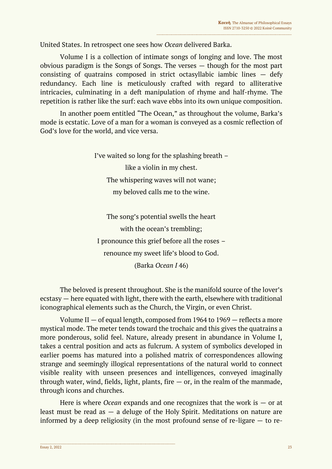United States. In retrospect one sees how *Ocean* delivered Barka.

Volume I is a collection of intimate songs of longing and love. The most obvious paradigm is the Songs of Songs. The verses — though for the most part consisting of quatrains composed in strict octasyllabic iambic lines — defy redundancy. Each line is meticulously crafted with regard to alliterative intricacies, culminating in a deft manipulation of rhyme and half-rhyme. The repetition is rather like the surf: each wave ebbs into its own unique composition.

In another poem entitled "The Ocean," as throughout the volume, Barka's mode is ecstatic. Love of a man for a woman is conveyed as a cosmic reflection of God's love for the world, and vice versa.

> I've waited so long for the splashing breath – like a violin in my chest. The whispering waves will not wane; my beloved calls me to the wine.

The song's potential swells the heart with the ocean's trembling; I pronounce this grief before all the roses – renounce my sweet life's blood to God. (Barka *Ocean I* 46)

The beloved is present throughout. She is the manifold source of the lover's ecstasy — here equated with light, there with the earth, elsewhere with traditional iconographical elements such as the Church, the Virgin, or even Christ.

Volume II  $-$  of equal length, composed from 1964 to 1969  $-$  reflects a more mystical mode. The meter tends toward the trochaic and this gives the quatrains a more ponderous, solid feel. Nature, already present in abundance in Volume I, takes a central position and acts as fulcrum. A system of symbolics developed in earlier poems has matured into a polished matrix of correspondences allowing strange and seemingly illogical representations of the natural world to connect visible reality with unseen presences and intelligences, conveyed imaginally through water, wind, fields, light, plants, fire  $-$  or, in the realm of the manmade, through icons and churches.

Here is where *Ocean* expands and one recognizes that the work is — or at least must be read as — a deluge of the Holy Spirit. Meditations on nature are informed by a deep religiosity (in the most profound sense of re-ligare — to re-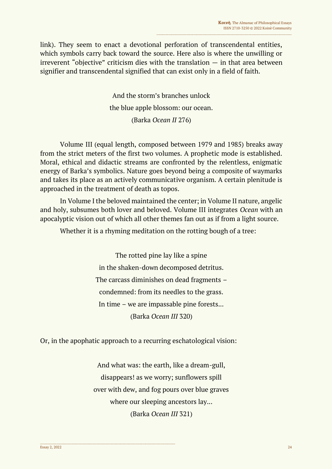link). They seem to enact a devotional perforation of transcendental entities, which symbols carry back toward the source. Here also is where the unwilling or irreverent "objective" criticism dies with the translation  $-$  in that area between signifier and transcendental signified that can exist only in a field of faith.

> And the storm's branches unlock the blue apple blossom: our ocean. (Barka *Ocean II* 276)

Volume III (equal length, composed between 1979 and 1985) breaks away from the strict meters of the first two volumes. A prophetic mode is established. Moral, ethical and didactic streams are confronted by the relentless, enigmatic energy of Barka's symbolics. Nature goes beyond being a composite of waymarks and takes its place as an actively communicative organism. A certain plenitude is approached in the treatment of death as topos.

In Volume I the beloved maintained the center; in Volume II nature, angelic and holy, subsumes both lover and beloved. Volume III integrates *Ocean* with an apocalyptic vision out of which all other themes fan out as if from a light source.

Whether it is a rhyming meditation on the rotting bough of a tree:

The rotted pine lay like a spine in the shaken-down decomposed detritus. The carcass diminishes on dead fragments – condemned: from its needles to the grass. In time – we are impassable pine forests... (Barka *Ocean III* 320)

Or, in the apophatic approach to a recurring eschatological vision:

 $\mathcal{L}_\mathcal{L}$  , and the contribution of the contribution of the contribution of the contribution of the contribution of the contribution of the contribution of the contribution of the contribution of the contribution of

And what was: the earth, like a dream-gull, disappears! as we worry; sunflowers spill over with dew, and fog pours over blue graves where our sleeping ancestors lay... (Barka *Ocean III* 321)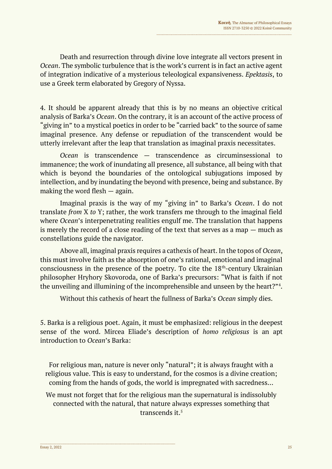Death and resurrection through divine love integrate all vectors present in *Ocean*. The symbolic turbulence that is the work's current is in fact an active agent of integration indicative of a mysterious teleological expansiveness. *Epektasis*, to use a Greek term elaborated by Gregory of Nyssa.

4. It should be apparent already that this is by no means an objective critical analysis of Barka's *Ocean*. On the contrary, it is an account of the active process of "giving in" to a mystical poetics in order to be "carried back" to the source of same imaginal presence. Any defense or repudiation of the transcendent would be utterly irrelevant after the leap that translation as imaginal praxis necessitates.

*Ocean* is transcendence — transcendence as circuminsessional to immanence; the work of inundating all presence, all substance, all being with that which is beyond the boundaries of the ontological subjugations imposed by intellection, and by inundating the beyond with presence, being and substance. By making the word flesh — again.

Imaginal praxis is the way of my "giving in" to Barka's *Ocean*. I do not translate *from* X *to* Y; rather, the work transfers me through to the imaginal field where *Ocean*'s interpenetrating realities engulf me. The translation that happens is merely the record of a close reading of the text that serves as a map — much as constellations guide the navigator.

Above all, imaginal praxis requires a cathexis of heart. In the topos of *Ocean*, this must involve faith as the absorption of one's rational, emotional and imaginal consciousness in the presence of the poetry. To cite the  $18<sup>th</sup>$ -century Ukrainian philosopher Hryhory Skovoroda, one of Barka's precursors: "What is faith if not the unveiling and illumining of the incomprehensible and unseen by the heart?"<sup>4</sup> .

Without this cathexis of heart the fullness of Barka's *Ocean* simply dies.

5. Barka is a religious poet. Again, it must be emphasized: religious in the deepest sense of the word. Mircea Eliade's description of *homo religiosus* is an apt introduction to *Ocean*'s Barka:

For religious man, nature is never only "natural"; it is always fraught with a religious value. This is easy to understand, for the cosmos is a divine creation; coming from the hands of gods, the world is impregnated with sacredness…

We must not forget that for the religious man the supernatural is indissolubly connected with the natural, that nature always expresses something that transcends it.5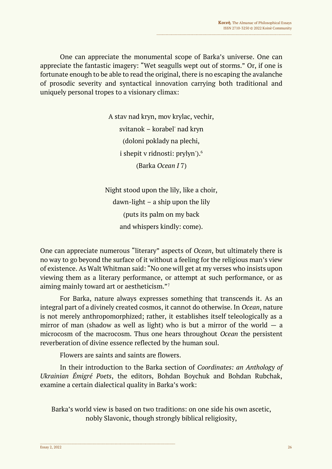One can appreciate the monumental scope of Barka's universe. One can appreciate the fantastic imagery: "Wet seagulls wept out of storms." Or, if one is fortunate enough to be able to read the original, there is no escaping the avalanche of prosodic severity and syntactical innovation carrying both traditional and uniquely personal tropes to a visionary climax:

> A stav nad kryn, mov krylac, vechir, svitanok – korabel' nad kryn (doloni poklady na plechi, i shepit v ridnosti: prylyn').<sup>6</sup> (Barka *Ocean I* 7)

Night stood upon the lily, like a choir, dawn-light – a ship upon the lily (puts its palm on my back and whispers kindly: come).

One can appreciate numerous "literary" aspects of *Ocean*, but ultimately there is no way to go beyond the surface of it without a feeling for the religious man's view of existence. As Walt Whitman said: "No one will get at my verses who insists upon viewing them as a literary performance, or attempt at such performance, or as aiming mainly toward art or aestheticism."<sup>7</sup>

For Barka, nature always expresses something that transcends it. As an integral part of a divinely created cosmos, it cannot do otherwise. In *Ocean*, nature is not merely anthropomorphized; rather, it establishes itself teleologically as a mirror of man (shadow as well as light) who is but a mirror of the world  $-$  a microcosm of the macrocosm. Thus one hears throughout *Ocean* the persistent reverberation of divine essence reflected by the human soul.

Flowers are saints and saints are flowers.

In their introduction to the Barka section of *Coordinates: an Anthology of Ukrainian Émigré Poets*, the editors, Bohdan Boychuk and Bohdan Rubchak, examine a certain dialectical quality in Barka's work:

Barka's world view is based on two traditions: on one side his own ascetic, nobly Slavonic, though strongly biblical religiosity,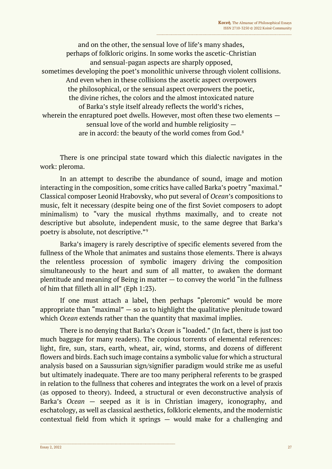and on the other, the sensual love of life's many shades, perhaps of folkloric origins. In some works the ascetic-Christian and sensual-pagan aspects are sharply opposed, sometimes developing the poet's monolithic universe through violent collisions. And even when in these collisions the ascetic aspect overpowers the philosophical, or the sensual aspect overpowers the poetic, the divine riches, the colors and the almost intoxicated nature of Barka's style itself already reflects the world's riches, wherein the enraptured poet dwells. However, most often these two elements sensual love of the world and humble religiosity are in accord: the beauty of the world comes from God.<sup>8</sup>

There is one principal state toward which this dialectic navigates in the work: pleroma.

In an attempt to describe the abundance of sound, image and motion interacting in the composition, some critics have called Barka's poetry "maximal." Classical composer Leonid Hrabovsky, who put several of *Ocean*'s compositions to music, felt it necessary (despite being one of the first Soviet composers to adopt minimalism) to "vary the musical rhythms maximally, and to create not descriptive but absolute, independent music, to the same degree that Barka's poetry is absolute, not descriptive."<sup>9</sup>

Barka's imagery is rarely descriptive of specific elements severed from the fullness of the Whole that animates and sustains those elements. There is always the relentless procession of symbolic imagery driving the composition simultaneously to the heart and sum of all matter, to awaken the dormant plentitude and meaning of Being in matter  $-$  to convey the world "in the fullness" of him that filleth all in all" (Eph 1:23).

If one must attach a label, then perhaps "pleromic" would be more appropriate than "maximal"  $-$  so as to highlight the qualitative plenitude toward which *Ocean* extends rather than the quantity that maximal implies.

There is no denying that Barka's *Ocean* is "loaded." (In fact, there is just too much baggage for many readers). The copious torrents of elemental references: light, fire, sun, stars, earth, wheat, air, wind, storms, and dozens of different flowers and birds. Each such image contains a symbolic value for which a structural analysis based on a Saussurian sign/signifier paradigm would strike me as useful but ultimately inadequate. There are too many peripheral referents to be grasped in relation to the fullness that coheres and integrates the work on a level of praxis (as opposed to theory). Indeed, a structural or even deconstructive analysis of Barka's *Ocean* — seeped as it is in Christian imagery, iconography, and eschatology, as well as classical aesthetics, folkloric elements, and the modernistic contextual field from which it springs — would make for a challenging and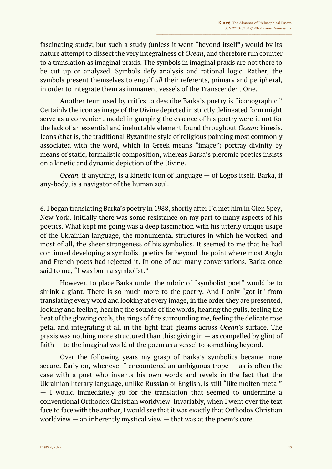fascinating study; but such a study (unless it went "beyond itself") would by its nature attempt to dissect the very integralness of *Ocean*, and therefore run counter to a translation as imaginal praxis. The symbols in imaginal praxis are not there to be cut up or analyzed. Symbols defy analysis and rational logic. Rather, the symbols present themselves to engulf *all* their referents, primary and peripheral, in order to integrate them as immanent vessels of the Transcendent One.

Another term used by critics to describe Barka's poetry is "iconographic." Certainly the icon as image of the Divine depicted in strictly delineated form might serve as a convenient model in grasping the essence of his poetry were it not for the lack of an essential and ineluctable element found throughout *Ocean*: kinesis. Icons (that is, the traditional Byzantine style of religious painting most commonly associated with the word, which in Greek means "image") portray divinity by means of static, formalistic composition, whereas Barka's pleromic poetics insists on a kinetic and dynamic depiction of the Divine.

*Ocean*, if anything, is a kinetic icon of language — of Logos itself. Barka, if any-body, is a navigator of the human soul.

6. I began translating Barka's poetry in 1988, shortly after I'd met him in Glen Spey, New York. Initially there was some resistance on my part to many aspects of his poetics. What kept me going was a deep fascination with his utterly unique usage of the Ukrainian language, the monumental structures in which he worked, and most of all, the sheer strangeness of his symbolics. It seemed to me that he had continued developing a symbolist poetics far beyond the point where most Anglo and French poets had rejected it. In one of our many conversations, Barka once said to me, "I was born a symbolist."

However, to place Barka under the rubric of "symbolist poet" would be to shrink a giant. There is so much more to the poetry. And I only "got it" from translating every word and looking at every image, in the order they are presented, looking and feeling, hearing the sounds of the words, hearing the gulls, feeling the heat of the glowing coals, the rings of fire surrounding me, feeling the delicate rose petal and integrating it all in the light that gleams across *Ocean'*s surface. The praxis was nothing more structured than this: giving in  $-$  as compelled by glint of faith — to the imaginal world of the poem as a vessel to something beyond.

Over the following years my grasp of Barka's symbolics became more secure. Early on, whenever I encountered an ambiguous trope — as is often the case with a poet who invents his own words and revels in the fact that the Ukrainian literary language, unlike Russian or English, is still "like molten metal" — I would immediately go for the translation that seemed to undermine a conventional Orthodox Christian worldview. Invariably, when I went over the text face to face with the author, I would see that it was exactly that Orthodox Christian worldview  $-$  an inherently mystical view  $-$  that was at the poem's core.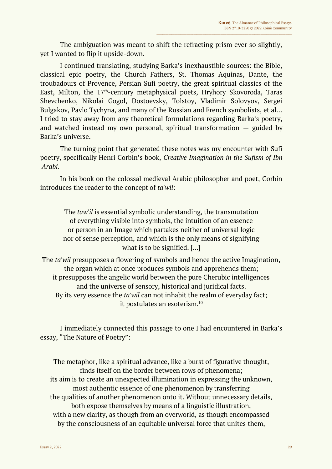The ambiguation was meant to shift the refracting prism ever so slightly, yet I wanted to flip it upside-down.

I continued translating, studying Barka's inexhaustible sources: the Bible, classical epic poetry, the Church Fathers, St. Thomas Aquinas, Dante, the troubadours of Provence, Persian Sufi poetry, the great spiritual classics of the East, Milton, the 17<sup>th</sup>-century metaphysical poets, Hryhory Skovoroda, Taras Shevchenko, Nikolai Gogol, Dostoevsky, Tolstoy, Vladimir Solovyov, Sergei Bulgakov, Pavlo Tychyna, and many of the Russian and French symbolists, et al… I tried to stay away from any theoretical formulations regarding Barka's poetry, and watched instead my own personal, spiritual transformation  $-$  guided by Barka's universe.

The turning point that generated these notes was my encounter with Sufi poetry, specifically Henri Corbin's book, *Creative Imagination in the Sufism of Ibn 'Arabi.*

In his book on the colossal medieval Arabic philosopher and poet, Corbin introduces the reader to the concept of *ta'wil*:

The *taw'il* is essential symbolic understanding, the transmutation of everything visible into symbols, the intuition of an essence or person in an Image which partakes neither of universal logic nor of sense perception, and which is the only means of signifying what is to be signified. [...]

The *ta'wil* presupposes a flowering of symbols and hence the active Imagination, the organ which at once produces symbols and apprehends them; it presupposes the angelic world between the pure Cherubic intelligences and the universe of sensory, historical and juridical facts. By its very essence the *ta'wil* can not inhabit the realm of everyday fact; it postulates an esoterism.<sup>10</sup>

I immediately connected this passage to one I had encountered in Barka's essay, "The Nature of Poetry":

The metaphor, like a spiritual advance, like a burst of figurative thought, finds itself on the border between rows of phenomena; its aim is to create an unexpected illumination in expressing the unknown, most authentic essence of one phenomenon by transferring the qualities of another phenomenon onto it. Without unnecessary details, both expose themselves by means of a linguistic illustration, with a new clarity, as though from an overworld, as though encompassed by the consciousness of an equitable universal force that unites them,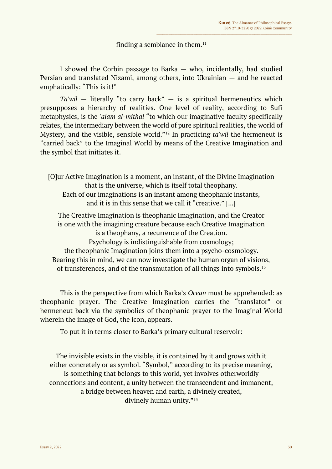## finding a semblance in them. $11$

I showed the Corbin passage to Barka — who, incidentally, had studied Persian and translated Nizami, among others, into Ukrainian — and he reacted emphatically: "This is it!"

*Ta'wil* — literally "to carry back" — is a spiritual hermeneutics which presupposes a hierarchy of realities. One level of reality, according to Sufi metaphysics, is the *'alam al-mithal* "to which our imaginative faculty specifically relates, the intermediary between the world of pure spiritual realities, the world of Mystery, and the visible, sensible world."<sup>12</sup> In practicing *ta'wil* the hermeneut is "carried back" to the Imaginal World by means of the Creative Imagination and the symbol that initiates it.

[O]ur Active Imagination is a moment, an instant, of the Divine Imagination that is the universe, which is itself total theophany. Each of our imaginations is an instant among theophanic instants, and it is in this sense that we call it "creative." [...]

The Creative Imagination is theophanic Imagination, and the Creator is one with the imagining creature because each Creative Imagination is a theophany, a recurrence of the Creation. Psychology is indistinguishable from cosmology; the theophanic Imagination joins them into a psycho-cosmology. Bearing this in mind, we can now investigate the human organ of visions, of transferences, and of the transmutation of all things into symbols.<sup>13</sup>

This is the perspective from which Barka's *Ocean* must be apprehended: as theophanic prayer. The Creative Imagination carries the "translator" or hermeneut back via the symbolics of theophanic prayer to the Imaginal World wherein the image of God, the icon, appears.

To put it in terms closer to Barka's primary cultural reservoir:

The invisible exists in the visible, it is contained by it and grows with it either concretely or as symbol. "Symbol," according to its precise meaning, is something that belongs to this world, yet involves otherworldly connections and content, a unity between the transcendent and immanent, a bridge between heaven and earth, a divinely created, divinely human unity."<sup>14</sup>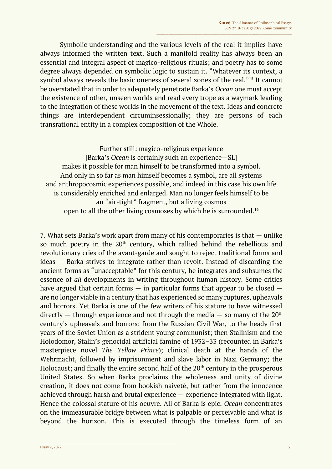Symbolic understanding and the various levels of the real it implies have always informed the written text. Such a manifold reality has always been an essential and integral aspect of magico-religious rituals; and poetry has to some degree always depended on symbolic logic to sustain it. "Whatever its context, a symbol always reveals the basic oneness of several zones of the real."<sup>15</sup> It cannot be overstated that in order to adequately penetrate Barka's *Ocean* one must accept the existence of other, unseen worlds and read every trope as a waymark leading to the integration of these worlds in the movement of the text. Ideas and concrete things are interdependent circuminsessionally; they are persons of each transrational entity in a complex composition of the Whole.

Further still: magico-religious experience [Barka's *Ocean* is certainly such an experience—SL] makes it possible for man himself to be transformed into a symbol. And only in so far as man himself becomes a symbol, are all systems and anthropocosmic experiences possible, and indeed in this case his own life is considerably enriched and enlarged. Man no longer feels himself to be an "air-tight" fragment, but a living cosmos open to all the other living cosmoses by which he is surrounded. 16

7. What sets Barka's work apart from many of his contemporaries is that — unlike so much poetry in the 20<sup>th</sup> century, which rallied behind the rebellious and revolutionary cries of the avant-garde and sought to reject traditional forms and ideas — Barka strives to integrate rather than revolt. Instead of discarding the ancient forms as "unacceptable" for this century, he integrates and subsumes the essence of *all* developments in writing throughout human history. Some critics have argued that certain forms  $-$  in particular forms that appear to be closed  $$ are no longer viable in a century that has experienced so many ruptures, upheavals and horrors. Yet Barka is one of the few writers of his stature to have witnessed directly — through experience and not through the media — so many of the  $20<sup>th</sup>$ century's upheavals and horrors: from the Russian Civil War, to the heady first years of the Soviet Union as a strident young communist; then Stalinism and the Holodomor, Stalin's genocidal artificial famine of 1932–33 (recounted in Barka's masterpiece novel *The Yellow Prince*); clinical death at the hands of the Wehrmacht, followed by imprisonment and slave labor in Nazi Germany; the Holocaust; and finally the entire second half of the  $20<sup>th</sup>$  century in the prosperous United States. So when Barka proclaims the wholeness and unity of divine creation, it does not come from bookish naiveté, but rather from the innocence achieved through harsh and brutal experience — experience integrated with light. Hence the colossal stature of his oeuvre. All of Barka is epic. *Ocean* concentrates on the immeasurable bridge between what is palpable or perceivable and what is beyond the horizon. This is executed through the timeless form of an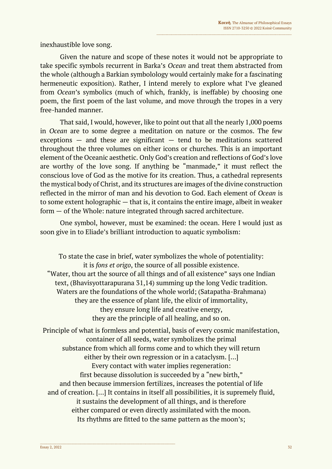inexhaustible love song.

Given the nature and scope of these notes it would not be appropriate to take specific symbols recurrent in Barka's *Ocean* and treat them abstracted from the whole (although a Barkian symbolology would certainly make for a fascinating hermeneutic exposition). Rather, I intend merely to explore what I've gleaned from *Ocean*'s symbolics (much of which, frankly, is ineffable) by choosing one poem, the first poem of the last volume, and move through the tropes in a very free-handed manner.

That said, I would, however, like to point out that all the nearly 1,000 poems in *Ocean* are to some degree a meditation on nature or the cosmos. The few exceptions  $-$  and these are significant  $-$  tend to be meditations scattered throughout the three volumes on either icons or churches. This is an important element of the Oceanic aesthetic. Only God's creation and reflections of God's love are worthy of the love song. If anything be "manmade," it must reflect the conscious love of God as the motive for its creation. Thus, a cathedral represents the mystical body of Christ, and its structures are images of the divine construction reflected in the mirror of man and his devotion to God. Each element of *Ocean* is to some extent holographic — that is, it contains the entire image, albeit in weaker form — of the Whole: nature integrated through sacred architecture.

One symbol, however, must be examined: the ocean. Here I would just as soon give in to Eliade's brilliant introduction to aquatic symbolism:

To state the case in brief, water symbolizes the whole of potentiality: it is *fons et origo*, the source of all possible existence. "Water, thou art the source of all things and of all existence" says one Indian text, (Bhavisyottarapurana 31,14) summing up the long Vedic tradition. Waters are the foundations of the whole world; (Satapatha-Brahmana) they are the essence of plant life, the elixir of immortality, they ensure long life and creative energy, they are the principle of all healing, and so on.

Principle of what is formless and potential, basis of every cosmic manifestation, container of all seeds, water symbolizes the primal substance from which all forms come and to which they will return either by their own regression or in a cataclysm. […] Every contact with water implies regeneration: first because dissolution is succeeded by a "new birth," and then because immersion fertilizes, increases the potential of life and of creation. […] It contains in itself all possibilities, it is supremely fluid, it sustains the development of all things, and is therefore either compared or even directly assimilated with the moon. Its rhythms are fitted to the same pattern as the moon's;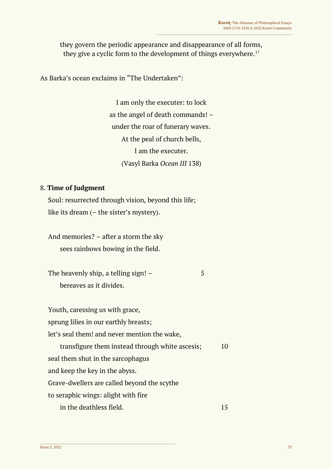they govern the periodic appearance and disappearance of all forms, they give a cyclic form to the development of things everywhere. $17$ 

As Barka's ocean exclaims in "The Undertaken":

I am only the executer: to lock as the angel of death commands! – under the roar of funerary waves. At the peal of church bells, I am the executer. (Vasyl Barka *Ocean III* 138)

### 8. **Time of Judgment**

Soul: resurrected through vision, beyond this life; like its dream (– the sister's mystery).

And memories? – after a storm the sky sees rainbows bowing in the field.

 $\_$  , and the set of the set of the set of the set of the set of the set of the set of the set of the set of the set of the set of the set of the set of the set of the set of the set of the set of the set of the set of th

The heavenly ship, a telling sign!  $-$  5 bereaves as it divides.

Youth, caressing us with grace, sprung lilies in our earthly breasts; let's seal them! and never mention the wake, transfigure them instead through white ascesis; 10 seal them shut in the sarcophagus and keep the key in the abyss. Grave-dwellers are called beyond the scythe to seraphic wings: alight with fire in the deathless field. The state of the state of the 15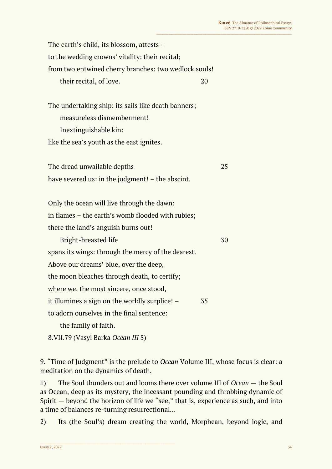The earth's child, its blossom, attests – to the wedding crowns' vitality: their recital; from two entwined cherry branches: two wedlock souls! their recital, of love. 20

The undertaking ship: its sails like death banners; measureless dismemberment! Inextinguishable kin: like the sea's youth as the east ignites.

The dread unwailable depths 25 have severed us: in the judgment! – the abscint.

Only the ocean will live through the dawn: in flames – the earth's womb flooded with rubies; there the land's anguish burns out!

Bright-breasted life 30 spans its wings: through the mercy of the dearest. Above our dreams' blue, over the deep, the moon bleaches through death, to certify; where we, the most sincere, once stood, it illumines a sign on the worldly surplice! – 35 to adorn ourselves in the final sentence:

the family of faith.

8.VII.79 (Vasyl Barka *Ocean III* 5)

 $\_$  , and the set of the set of the set of the set of the set of the set of the set of the set of the set of the set of the set of the set of the set of the set of the set of the set of the set of the set of the set of th

9. "Time of Judgment" is the prelude to *Ocean* Volume III, whose focus is clear: a meditation on the dynamics of death.

1) The Soul thunders out and looms there over volume III of *Ocean* — the Soul as Ocean, deep as its mystery, the incessant pounding and throbbing dynamic of Spirit — beyond the horizon of life we "see," that is, experience as such, and into a time of balances re-turning resurrectional…

2) Its (the Soul's) dream creating the world, Morphean, beyond logic, and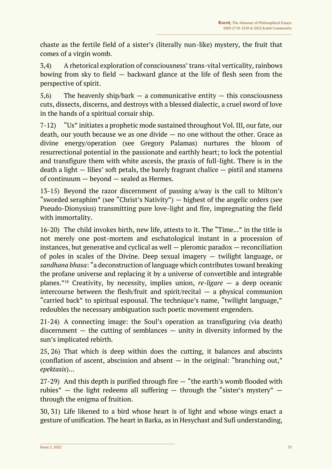chaste as the fertile field of a sister's (literally nun-like) mystery, the fruit that comes of a virgin womb.

3,4) A rhetorical exploration of consciousness' trans-vital verticality, rainbows bowing from sky to field — backward glance at the life of flesh seen from the perspective of spirit.

5,6) The heavenly ship/bark  $-$  a communicative entity  $-$  this consciousness cuts, dissects, discerns, and destroys with a blessed dialectic, a cruel sword of love in the hands of a spiritual corsair ship.

7-12) "Us" initiates a prophetic mode sustained throughout Vol. III, our fate, our death, our youth because we as one divide — no one without the other. Grace as divine energy/operation (see Gregory Palamas) nurtures the bloom of resurrectional potential in the passionate and earthly heart; to lock the potential and transfigure them with white ascesis, the praxis of full-light. There is in the death a light  $-$  lilies' soft petals, the barely fragrant chalice  $-$  pistil and stamens of continuum — beyond — sealed as Hermes.

13-15) Beyond the razor discernment of passing a/way is the call to Milton's "sworded seraphim" (see "Christ's Nativity") — highest of the angelic orders (see Pseudo-Dionysius) transmitting pure love-light and fire, impregnating the field with immortality.

16-20) The child invokes birth, new life, attests to it. The "Time..." in the title is not merely one post-mortem and eschatological instant in a procession of instances, but generative and cyclical as well — pleromic paradox — reconciliation of poles in scales of the Divine. Deep sexual imagery — twilight language, or *sandhana bhasa*: "a deconstruction of language which contributes toward breaking the profane universe and replacing it by a universe of convertible and integrable planes." <sup>18</sup> Creativity, by necessity, implies union, *re-ligare* — a deep oceanic intercourse between the flesh/fruit and spirit/recital  $-$  a physical communion "carried back" to spiritual espousal. The technique's name, "twilight language," redoubles the necessary ambiguation such poetic movement engenders.

21-24) A connecting image: the Soul's operation as transfiguring (via death) discernment  $-$  the cutting of semblances  $-$  unity in diversity informed by the sun's implicated rebirth.

25, 26) That which is deep within does the cutting, it balances and abscints (conflation of ascent, abscission and absent  $-$  in the original: "branching out," *epektasis*)…

27-29) And this depth is purified through fire — "the earth's womb flooded with rubies"  $-$  the light redeems all suffering  $-$  through the "sister's mystery"  $$ through the enigma of fruition.

30, 31) Life likened to a bird whose heart is of light and whose wings enact a gesture of unification. The heart in Barka, as in Hesychast and Sufi understanding,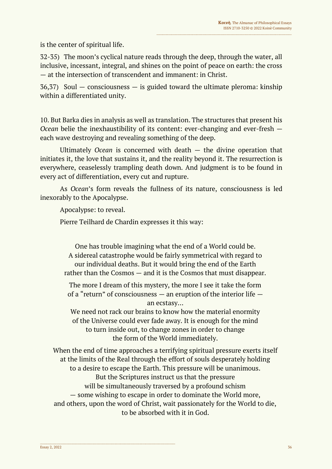is the center of spiritual life.

32-35) The moon's cyclical nature reads through the deep, through the water, all inclusive, incessant, integral, and shines on the point of peace on earth: the cross — at the intersection of transcendent and immanent: in Christ.

 $36,37$ ) Soul — consciousness — is guided toward the ultimate pleroma: kinship within a differentiated unity.

10. But Barka dies in analysis as well as translation. The structures that present his *Ocean* belie the inexhaustibility of its content: ever-changing and ever-fresh each wave destroying and revealing something of the deep.

Ultimately *Ocean* is concerned with death — the divine operation that initiates it, the love that sustains it, and the reality beyond it. The resurrection is everywhere, ceaselessly trampling death down. And judgment is to be found in every act of differentiation, every cut and rupture.

As *Ocean*'s form reveals the fullness of its nature, consciousness is led inexorably to the Apocalypse.

Apocalypse: to reveal.

Pierre Teilhard de Chardin expresses it this way:

One has trouble imagining what the end of a World could be. A sidereal catastrophe would be fairly symmetrical with regard to our individual deaths. But it would bring the end of the Earth rather than the Cosmos — and it is the Cosmos that must disappear.

The more I dream of this mystery, the more I see it take the form of a "return" of consciousness — an eruption of the interior life an ecstasy…

We need not rack our brains to know how the material enormity of the Universe could ever fade away. It is enough for the mind to turn inside out, to change zones in order to change the form of the World immediately.

When the end of time approaches a terrifying spiritual pressure exerts itself at the limits of the Real through the effort of souls desperately holding to a desire to escape the Earth. This pressure will be unanimous. But the Scriptures instruct us that the pressure will be simultaneously traversed by a profound schism — some wishing to escape in order to dominate the World more, and others, upon the word of Christ, wait passionately for the World to die, to be absorbed with it in God.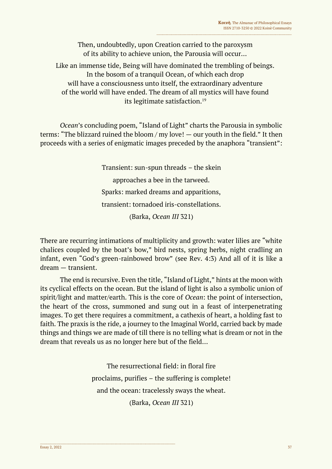Then, undoubtedly, upon Creation carried to the paroxysm of its ability to achieve union, the Parousia will occur…

Like an immense tide, Being will have dominated the trembling of beings. In the bosom of a tranquil Ocean, of which each drop will have a consciousness unto itself, the extraordinary adventure of the world will have ended. The dream of all mystics will have found its legitimate satisfaction.<sup>19</sup>

*Ocean*'s concluding poem, "Island of Light" charts the Parousia in symbolic terms: "The blizzard ruined the bloom / my love! — our youth in the field." It then proceeds with a series of enigmatic images preceded by the anaphora "transient":

> Transient: sun-spun threads – the skein approaches a bee in the tarweed. Sparks: marked dreams and apparitions, transient: tornadoed iris-constellations. (Barka, *Ocean III* 321)

There are recurring intimations of multiplicity and growth: water lilies are "white chalices coupled by the boat's bow," bird nests, spring herbs, night cradling an infant, even "God's green-rainbowed brow" (see Rev. 4:3) And all of it is like a dream — transient.

The end is recursive. Even the title, "Island of Light," hints at the moon with its cyclical effects on the ocean. But the island of light is also a symbolic union of spirit/light and matter/earth. This is the core of *Ocean*: the point of intersection, the heart of the cross, summoned and sung out in a feast of interpenetrating images. To get there requires a commitment, a cathexis of heart, a holding fast to faith. The praxis is the ride, a journey to the Imaginal World, carried back by made things and things we are made of till there is no telling what is dream or not in the dream that reveals us as no longer here but of the field…

> The resurrectional field: in floral fire proclaims, purifies – the suffering is complete! and the ocean: tracelessly sways the wheat. (Barka, *Ocean III* 321)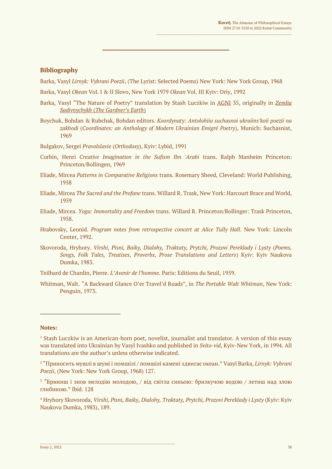#### **Bibliography**

Barka, Vasyl *Lirnyk: Vybrani Poezii*, (The Lyrist: Selected Poems) New York: New York Group, 1968

**\_\_\_\_\_\_\_\_\_\_\_\_\_\_\_\_\_\_\_\_\_\_\_\_\_\_\_\_\_\_\_\_\_\_\_\_\_**

- Barka, Vasyl *Okean* Vol. I & II Slovo, New York 1979 *Okean* Vol. III Kyiv: Oriy, 1992
- Barka, Vasyl "The Nature of Poetry" translation by Stash Luczkiw in AGNI 35, originally in *Zemlia Sadivnychykh* (*The Gardner's Earth*)
- Boychuk, Bohdan & Rubchak, Bohdan editors. *Koordynaty: Antolohiia suchasnoi ukraiins′koii poezii na zakhodi* (*Coordinates: an Anthology of Modern Ukrainian Emigré Poetry*), Munich: Suchasnist, 1969

Bulgakov, Sergei *Pravolslavie* (*Orthodoxy*), Kyiv: Lybid, 1991

- Corbin, Henri *Creative Imagination in the Sufism Ibn 'Arabi* trans. Ralph Manheim Princeton: Princeton/Bollingen, 1969
- Eliade, Mircea *Patterns in Comparative Religions* trans. Rosemary Sheed, Cleveland: World Publishing, 1958
- Eliade, Mircea *The Sacred and the Profane* trans. Willard R. Trask, New York: Harcourt Brace and World, 1959
- Eliade, Mircea. *Yoga: Immortality and Freedom* trans. Willard R. Princeton/Bollinger: Trask Princeton, 1958.
- Hrabovsky, Leonid. *Program notes from retrospective concert at Alice Tully Hall*. New York: Lincoln Center, 1992.
- Skovoroda, Hryhory. *Virshi, Pisni, Baiky, Dialohy, Traktaty, Prytchi, Prozovi Pereklady i Lysty* (*Poems, Songs, Folk Tales, Treatises, Proverbs, Prose Translations and Letters*) Kyiv: Kyiv Naukova Dumka, 1983.

Teilhard de Chardin, Pierre. *L'Avenir de l'homme.* Paris: Editions du Seuil, 1959.

Whitman, Walt. "A Backward Glance O'er Travel'd Roads", in *The Portable Walt Whitman*, New York: Penguin, 1973.

#### **Notes:**

<sup>&</sup>lt;sup>1</sup> Stash Luczkiw is an American-born poet, novelist, journalist and translator. A version of this essay was translated into Ukrainian by Vasyl Ivashko and published in *Svito-vid*, Kyiv-New York, in 1994. All translations are the author's unless otherwise indicated.

<sup>2</sup> "Приносить мушлі в шумі і помшілі / помшілі камені здвигає океан." Vasyl Barka, *Lirnyk: Vybrani Poezii*, (New York: New York Group, 1968) 127.

<sup>&</sup>lt;sup>3</sup> "Бриниш і знов мелодію молодою, / від світла синьою: бризкучою водою / летиш над злою глибиною." Ibid. 128

<sup>4</sup> Hryhory Skovoroda, *Virshi, Pisni, Baiky, Dialohy, Traktaty, Prytchi, Prozovi Pereklady i Lysty* (Kyiv: Kyiv Naukova Dumka, 1983), 189.